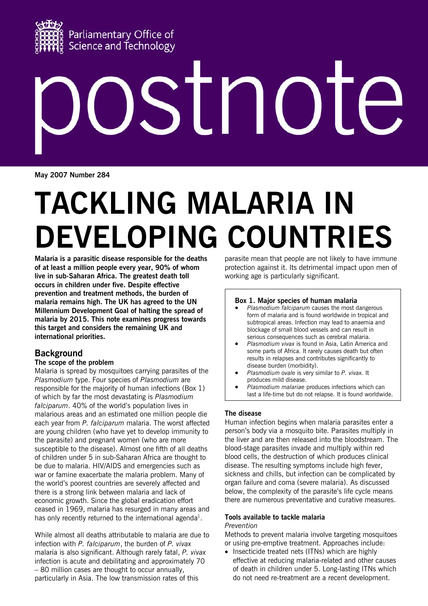

# STNOI

**May 2007 Number 284**

# **TACKLING MALARIA IN DEVELOPING COUNTRIES**

**Malaria is a parasitic disease responsible for the deaths of at least a million people every year, 90% of whom live in sub-Saharan Africa. The greatest death toll occurs in children under five. Despite effective prevention and treatment methods, the burden of malaria remains high. The UK has agreed to the UN Millennium Development Goal of halting the spread of malaria by 2015. This note examines progress towards this target and considers the remaining UK and international priorities.** 

# **Background**

### **The scope of the problem**

Malaria is spread by mosquitoes carrying parasites of the *Plasmodium* type. Four species of *Plasmodium* are responsible for the majority of human infections (Box 1) of which by far the most devastating is *Plasmodium falciparum*. 40% of the world's population lives in malarious areas and an estimated one million people die each year from *P. falciparum* malaria. The worst affected are young children (who have yet to develop immunity to the parasite) and pregnant women (who are more susceptible to the disease). Almost one fifth of all deaths of children under 5 in sub-Saharan Africa are thought to be due to malaria. HIV/AIDS and emergencies such as war or famine exacerbate the malaria problem. Many of the world's poorest countries are severely affected and there is a strong link between malaria and lack of economic growth. Since the global eradication effort ceased in 1969, malaria has resurged in many areas and has only recently returned to the international agenda $^1$ .

While almost all deaths attributable to malaria are due to infection with *P. falciparum*, the burden of *P. vivax* malaria is also significant. Although rarely fatal, *P. vivax* infection is acute and debilitating and approximately 70 – 80 million cases are thought to occur annually, particularly in Asia. The low transmission rates of this

parasite mean that people are not likely to have immune protection against it. Its detrimental impact upon men of working age is particularly significant.

### **Box 1. Major species of human malaria**

- *Plasmodium falciparum* causes the most dangerous form of malaria and is found worldwide in tropical and subtropical areas. Infection may lead to anaemia and blockage of small blood vessels and can result in serious consequences such as cerebral malaria.
- *Plasmodium vivax* is found in Asia, Latin America and some parts of Africa. It rarely causes death but often results in relapses and contributes significantly to disease burden (morbidity).
- *Plasmodium ovale* is very similar to *P. vivax.* It produces mild disease.
- *Plasmodium malariae* produces infections which can last a life-time but do not relapse. It is found worldwide.

### **The disease**

Human infection begins when malaria parasites enter a person's body via a mosquito bite. Parasites multiply in the liver and are then released into the bloodstream. The blood-stage parasites invade and multiply within red blood cells, the destruction of which produces clinical disease. The resulting symptoms include high fever, sickness and chills, but infection can be complicated by organ failure and coma (severe malaria). As discussed below, the complexity of the parasite's life cycle means there are numerous preventative and curative measures.

### **Tools available to tackle malaria**  *Prevention*

Methods to prevent malaria involve targeting mosquitoes or using pre-emptive treatment. Approaches include:

• Insecticide treated nets (ITNs) which are highly effective at reducing malaria-related and other causes of death in children under 5. Long-lasting ITNs which do not need re-treatment are a recent development.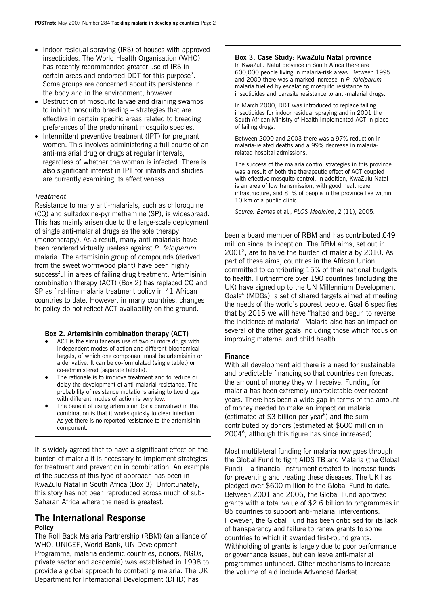- Indoor residual spraying (IRS) of houses with approved insecticides. The World Health Organisation (WHO) has recently recommended greater use of IRS in certain areas and endorsed DDT for this purpose<sup>2</sup>. Some groups are concerned about its persistence in the body and in the environment, however.
- Destruction of mosquito larvae and draining swamps to inhibit mosquito breeding – strategies that are effective in certain specific areas related to breeding preferences of the predominant mosquito species.
- Intermittent preventive treatment (IPT) for pregnant women. This involves administering a full course of an anti-malarial drug or drugs at regular intervals, regardless of whether the woman is infected. There is also significant interest in IPT for infants and studies are currently examining its effectiveness.

### *Treatment*

Resistance to many anti-malarials, such as chloroquine (CQ) and sulfadoxine-pyrimethamine (SP), is widespread. This has mainly arisen due to the large-scale deployment of single anti-malarial drugs as the sole therapy (monotherapy). As a result, many anti-malarials have been rendered virtually useless against *P. falciparum* malaria. The artemisinin group of compounds (derived from the sweet wormwood plant) have been highly successful in areas of failing drug treatment. Artemisinin combination therapy (ACT) (Box 2) has replaced CQ and SP as first-line malaria treatment policy in 41 African countries to date. However, in many countries, changes to policy do not reflect ACT availability on the ground.

### **Box 2. Artemisinin combination therapy (ACT)**

- ACT is the simultaneous use of two or more drugs with independent modes of action and different biochemical targets, of which one component must be artemisinin or a derivative. It can be co-formulated (single tablet) or co-administered (separate tablets).
- The rationale is to improve treatment and to reduce or delay the development of anti-malarial resistance. The probability of resistance mutations arising to two drugs with different modes of action is very low.
- The benefit of using artemisinin (or a derivative) in the combination is that it works quickly to clear infection. As yet there is no reported resistance to the artemisinin component.

It is widely agreed that to have a significant effect on the burden of malaria it is necessary to implement strategies for treatment and prevention in combination. An example of the success of this type of approach has been in KwaZulu Natal in South Africa (Box 3). Unfortunately, this story has not been reproduced across much of sub-Saharan Africa where the need is greatest.

### **The International Response Policy**

The Roll Back Malaria Partnership (RBM) (an alliance of WHO, UNICEF, World Bank, UN Development Programme, malaria endemic countries, donors, NGOs, private sector and academia) was established in 1998 to provide a global approach to combating malaria. The UK Department for International Development (DFID) has

### **Box 3. Case Study: KwaZulu Natal province**

In KwaZulu Natal province in South Africa there are 600,000 people living in malaria-risk areas. Between 1995 and 2000 there was a marked increase in *P. falciparum* malaria fuelled by escalating mosquito resistance to insecticides and parasite resistance to anti-malarial drugs.

In March 2000, DDT was introduced to replace failing insecticides for indoor residual spraying and in 2001 the South African Ministry of Health implemented ACT in place of failing drugs.

Between 2000 and 2003 there was a 97% reduction in malaria-related deaths and a 99% decrease in malariarelated hospital admissions.

The success of the malaria control strategies in this province was a result of both the therapeutic effect of ACT coupled with effective mosquito control. In addition, KwaZulu Natal is an area of low transmission, with good healthcare infrastructure, and 81% of people in the province live within 10 km of a public clinic.

*Source: Barnes* et al*.*, *PLOS Medicine*, 2 (11), 2005.

been a board member of RBM and has contributed £49 million since its inception. The RBM aims, set out in  $2001<sup>3</sup>$ , are to halve the burden of malaria by 2010. As part of these aims, countries in the African Union committed to contributing 15% of their national budgets to health. Furthermore over 190 countries (including the UK) have signed up to the UN Millennium Development Goals<sup>4</sup> (MDGs), a set of shared targets aimed at meeting the needs of the world's poorest people. Goal 6 specifies that by 2015 we will have "halted and begun to reverse the incidence of malaria". Malaria also has an impact on several of the other goals including those which focus on improving maternal and child health.

### **Finance**

With all development aid there is a need for sustainable and predictable financing so that countries can forecast the amount of money they will receive. Funding for malaria has been extremely unpredictable over recent years. There has been a wide gap in terms of the amount of money needed to make an impact on malaria (estimated at \$3 billion per year<sup>5</sup>) and the sum contributed by donors (estimated at \$600 million in  $2004^6$ , although this figure has since increased).

Most multilateral funding for malaria now goes through the Global Fund to fight AIDS TB and Malaria (the Global Fund) – a financial instrument created to increase funds for preventing and treating these diseases. The UK has pledged over \$600 million to the Global Fund to date. Between 2001 and 2006, the Global Fund approved grants with a total value of \$2.6 billion to programmes in 85 countries to support anti-malarial interventions. However, the Global Fund has been criticised for its lack of transparency and failure to renew grants to some countries to which it awarded first-round grants. Withholding of grants is largely due to poor performance or governance issues, but can leave anti-malarial programmes unfunded. Other mechanisms to increase the volume of aid include Advanced Market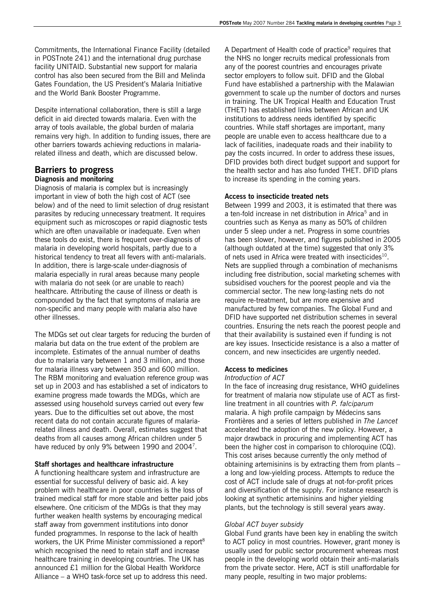Commitments, the International Finance Facility (detailed in POSTnote 241) and the international drug purchase facility UNITAID. Substantial new support for malaria control has also been secured from the Bill and Melinda Gates Foundation, the US President's Malaria Initiative and the World Bank Booster Programme.

Despite international collaboration, there is still a large deficit in aid directed towards malaria. Even with the array of tools available, the global burden of malaria remains very high. In addition to funding issues, there are other barriers towards achieving reductions in malariarelated illness and death, which are discussed below.

## **Barriers to progress**

### **Diagnosis and monitoring**

Diagnosis of malaria is complex but is increasingly important in view of both the high cost of ACT (see below) and of the need to limit selection of drug resistant parasites by reducing unnecessary treatment. It requires equipment such as microscopes or rapid diagnostic tests which are often unavailable or inadequate. Even when these tools do exist, there is frequent over-diagnosis of malaria in developing world hospitals, partly due to a historical tendency to treat all fevers with anti-malarials. In addition, there is large-scale under-diagnosis of malaria especially in rural areas because many people with malaria do not seek (or are unable to reach) healthcare. Attributing the cause of illness or death is compounded by the fact that symptoms of malaria are non-specific and many people with malaria also have other illnesses.

The MDGs set out clear targets for reducing the burden of malaria but data on the true extent of the problem are incomplete. Estimates of the annual number of deaths due to malaria vary between 1 and 3 million, and those for malaria illness vary between 350 and 600 million. The RBM monitoring and evaluation reference group was set up in 2003 and has established a set of indicators to examine progress made towards the MDGs, which are assessed using household surveys carried out every few years. Due to the difficulties set out above, the most recent data do not contain accurate figures of malariarelated illness and death. Overall, estimates suggest that deaths from all causes among African children under 5 have reduced by only 9% between 1990 and 2004<sup>7</sup>.

### **Staff shortages and healthcare infrastructure**

A functioning healthcare system and infrastructure are essential for successful delivery of basic aid. A key problem with healthcare in poor countries is the loss of trained medical staff for more stable and better paid jobs elsewhere. One criticism of the MDGs is that they may further weaken health systems by encouraging medical staff away from government institutions into donor funded programmes. In response to the lack of health workers, the UK Prime Minister commissioned a report<sup>8</sup> which recognised the need to retain staff and increase healthcare training in developing countries. The UK has announced £1 million for the Global Health Workforce Alliance – a WHO task-force set up to address this need.

A Department of Health code of practice<sup>9</sup> requires that the NHS no longer recruits medical professionals from any of the poorest countries and encourages private sector employers to follow suit. DFID and the Global Fund have established a partnership with the Malawian government to scale up the number of doctors and nurses in training. The UK Tropical Health and Education Trust (THET) has established links between African and UK institutions to address needs identified by specific countries. While staff shortages are important, many people are unable even to access healthcare due to a lack of facilities, inadequate roads and their inability to pay the costs incurred. In order to address these issues, DFID provides both direct budget support and support for the health sector and has also funded THET. DFID plans to increase its spending in the coming years.

### **Access to insecticide treated nets**

Between 1999 and 2003, it is estimated that there was a ten-fold increase in net distribution in Africa<sup>5</sup> and in countries such as Kenya as many as 50% of children under 5 sleep under a net. Progress in some countries has been slower, however, and figures published in 2005 (although outdated at the time) suggested that only 3% of nets used in Africa were treated with insecticides<sup>10</sup>. Nets are supplied through a combination of mechanisms including free distribution, social marketing schemes with subsidised vouchers for the poorest people and via the commercial sector. The new long-lasting nets do not require re-treatment, but are more expensive and manufactured by few companies. The Global Fund and DFID have supported net distribution schemes in several countries. Ensuring the nets reach the poorest people and that their availability is sustained even if funding is not are key issues. Insecticide resistance is a also a matter of concern, and new insecticides are urgently needed.

### **Access to medicines**

### *Introduction of ACT*

In the face of increasing drug resistance, WHO guidelines for treatment of malaria now stipulate use of ACT as firstline treatment in all countries with *P. falciparum* malaria. A high profile campaign by Médecins sans Frontières and a series of letters published in *The Lancet* accelerated the adoption of the new policy. However, a major drawback in procuring and implementing ACT has been the higher cost in comparison to chloroquine (CQ). This cost arises because currently the only method of obtaining artemisinins is by extracting them from plants – a long and low-yielding process. Attempts to reduce the cost of ACT include sale of drugs at not-for-profit prices and diversification of the supply. For instance research is looking at synthetic artemisinins and higher yielding plants, but the technology is still several years away.

### *Global ACT buyer subsidy*

Global Fund grants have been key in enabling the switch to ACT policy in most countries. However, grant money is usually used for public sector procurement whereas most people in the developing world obtain their anti-malarials from the private sector. Here, ACT is still unaffordable for many people, resulting in two major problems: